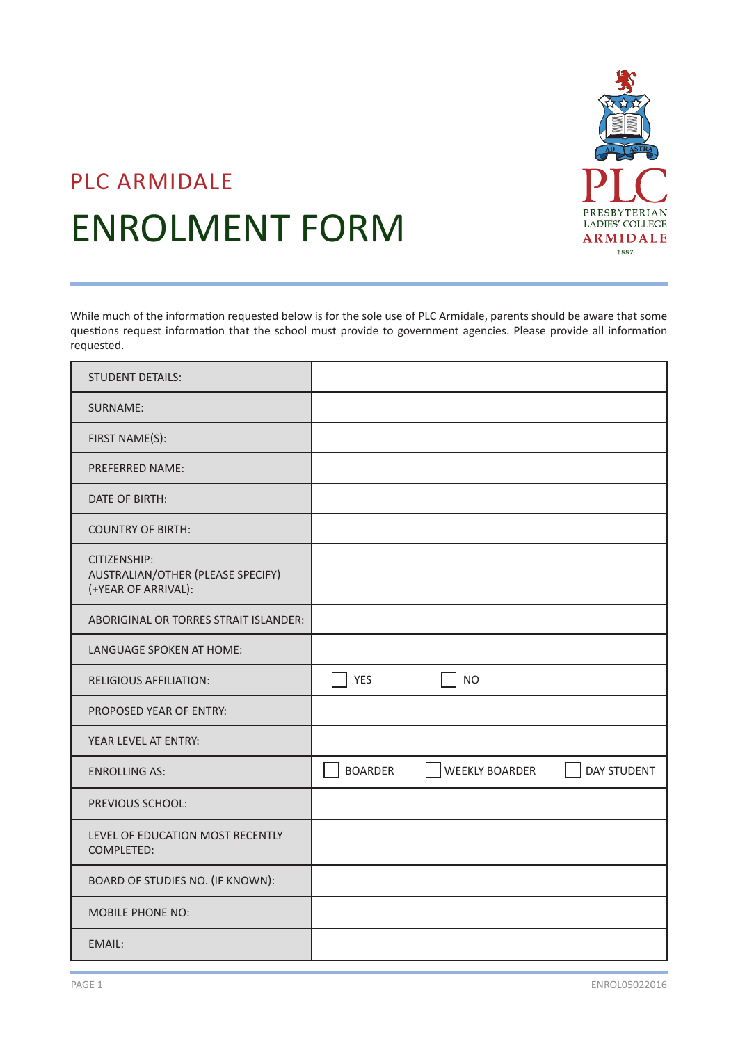

# PLC ARMIDALE ENROLMENT FORM

While much of the information requested below is for the sole use of PLC Armidale, parents should be aware that some questions request information that the school must provide to government agencies. Please provide all information requested.

| <b>STUDENT DETAILS:</b>                                                  |                                                        |
|--------------------------------------------------------------------------|--------------------------------------------------------|
| SURNAME:                                                                 |                                                        |
| FIRST NAME(S):                                                           |                                                        |
| <b>PREFERRED NAME:</b>                                                   |                                                        |
| DATE OF BIRTH:                                                           |                                                        |
| <b>COUNTRY OF BIRTH:</b>                                                 |                                                        |
| CITIZENSHIP:<br>AUSTRALIAN/OTHER (PLEASE SPECIFY)<br>(+YEAR OF ARRIVAL): |                                                        |
| ABORIGINAL OR TORRES STRAIT ISLANDER:                                    |                                                        |
| LANGUAGE SPOKEN AT HOME:                                                 |                                                        |
| <b>RELIGIOUS AFFILIATION:</b>                                            | <b>YES</b><br><b>NO</b>                                |
| PROPOSED YEAR OF ENTRY:                                                  |                                                        |
| YEAR LEVEL AT ENTRY:                                                     |                                                        |
| <b>ENROLLING AS:</b>                                                     | <b>BOARDER</b><br><b>WEEKLY BOARDER</b><br>DAY STUDENT |
| PREVIOUS SCHOOL:                                                         |                                                        |
| LEVEL OF EDUCATION MOST RECENTLY<br>COMPLETED:                           |                                                        |
| BOARD OF STUDIES NO. (IF KNOWN):                                         |                                                        |
| MOBILE PHONE NO:                                                         |                                                        |
| <b>EMAIL:</b>                                                            |                                                        |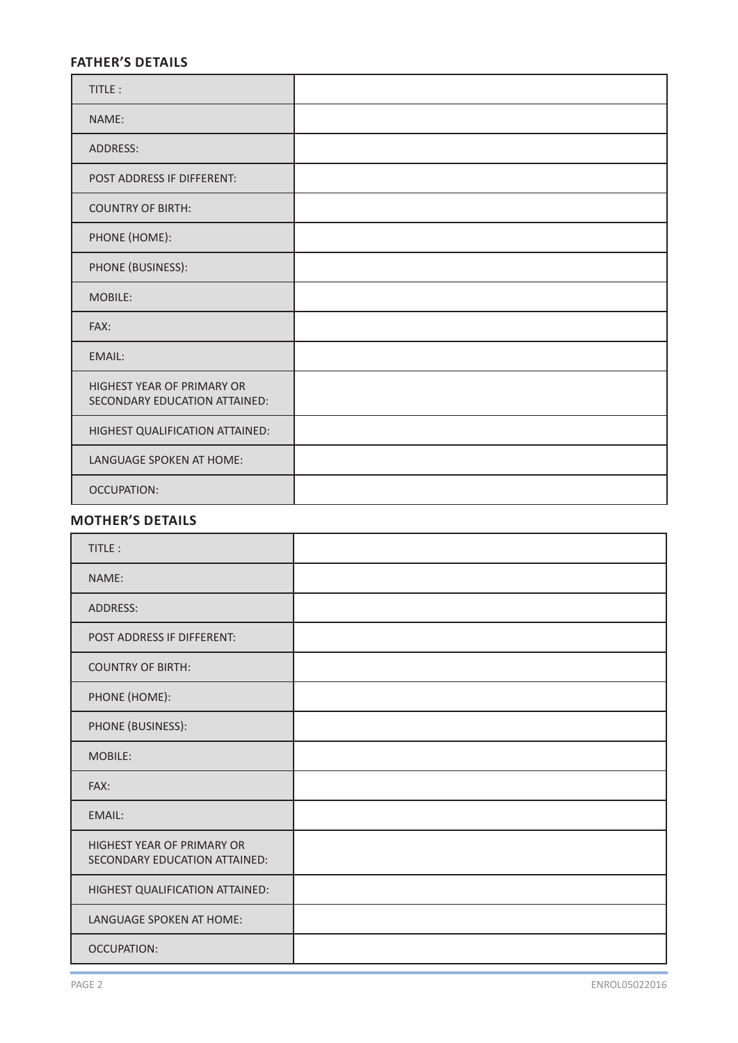# **FATHER'S DETAILS**

| TITLE:                                                             |  |
|--------------------------------------------------------------------|--|
| NAME:                                                              |  |
| <b>ADDRESS:</b>                                                    |  |
| POST ADDRESS IF DIFFERENT:                                         |  |
| <b>COUNTRY OF BIRTH:</b>                                           |  |
| PHONE (HOME):                                                      |  |
| PHONE (BUSINESS):                                                  |  |
| MOBILE:                                                            |  |
| FAX:                                                               |  |
| EMAIL:                                                             |  |
| <b>HIGHEST YEAR OF PRIMARY OR</b><br>SECONDARY EDUCATION ATTAINED: |  |
| HIGHEST QUALIFICATION ATTAINED:                                    |  |
| LANGUAGE SPOKEN AT HOME:                                           |  |
| <b>OCCUPATION:</b>                                                 |  |

## **MOTHER'S DETAILS**

| TITLE:                                                      |  |
|-------------------------------------------------------------|--|
| NAME:                                                       |  |
| ADDRESS:                                                    |  |
| POST ADDRESS IF DIFFERENT:                                  |  |
| <b>COUNTRY OF BIRTH:</b>                                    |  |
| PHONE (HOME):                                               |  |
| PHONE (BUSINESS):                                           |  |
| MOBILE:                                                     |  |
| FAX:                                                        |  |
| <b>EMAIL:</b>                                               |  |
| HIGHEST YEAR OF PRIMARY OR<br>SECONDARY EDUCATION ATTAINED: |  |
| HIGHEST QUALIFICATION ATTAINED:                             |  |
| LANGUAGE SPOKEN AT HOME:                                    |  |
| <b>OCCUPATION:</b>                                          |  |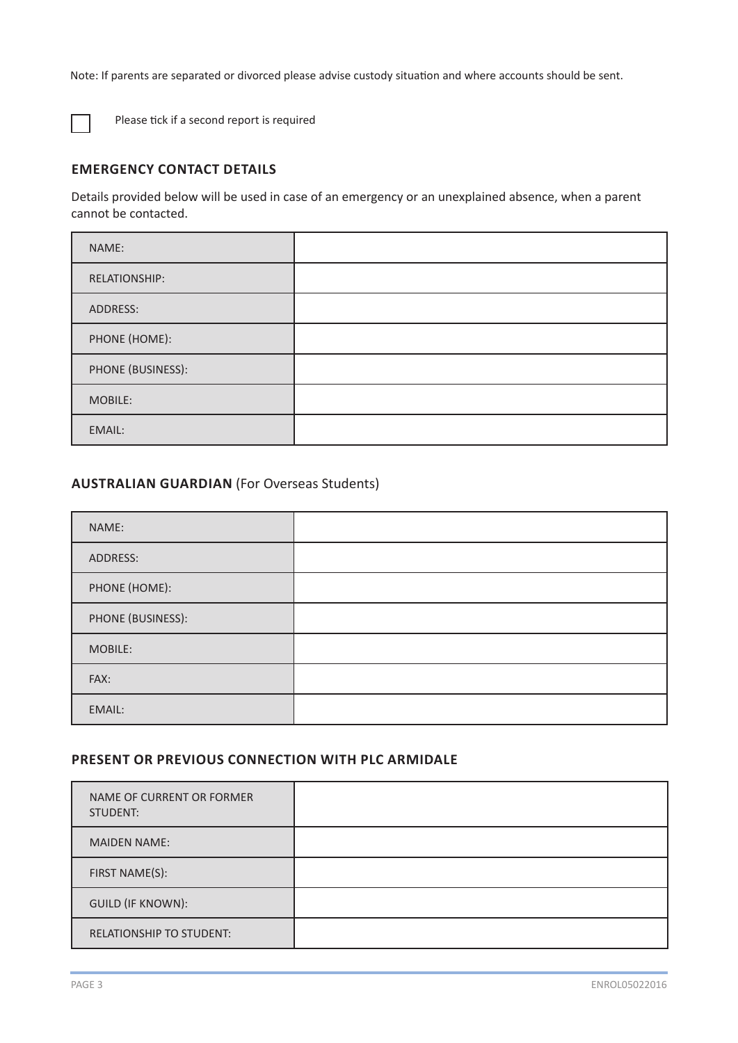Note: If parents are separated or divorced please advise custody situation and where accounts should be sent.



Please tick if a second report is required

## **EMERGENCY CONTACT DETAILS**

Details provided below will be used in case of an emergency or an unexplained absence, when a parent cannot be contacted.

| NAME:             |  |
|-------------------|--|
| RELATIONSHIP:     |  |
| ADDRESS:          |  |
| PHONE (HOME):     |  |
| PHONE (BUSINESS): |  |
| MOBILE:           |  |
| EMAIL:            |  |

## **AUSTRALIAN GUARDIAN** (For Overseas Students)

| NAME:             |  |
|-------------------|--|
| ADDRESS:          |  |
| PHONE (HOME):     |  |
| PHONE (BUSINESS): |  |
| MOBILE:           |  |
| FAX:              |  |
| EMAIL:            |  |

## **PRESENT OR PREVIOUS CONNECTION WITH PLC ARMIDALE**

| NAME OF CURRENT OR FORMER<br>STUDENT: |  |
|---------------------------------------|--|
| <b>MAIDEN NAME:</b>                   |  |
| FIRST NAME(S):                        |  |
| <b>GUILD (IF KNOWN):</b>              |  |
| <b>RELATIONSHIP TO STUDENT:</b>       |  |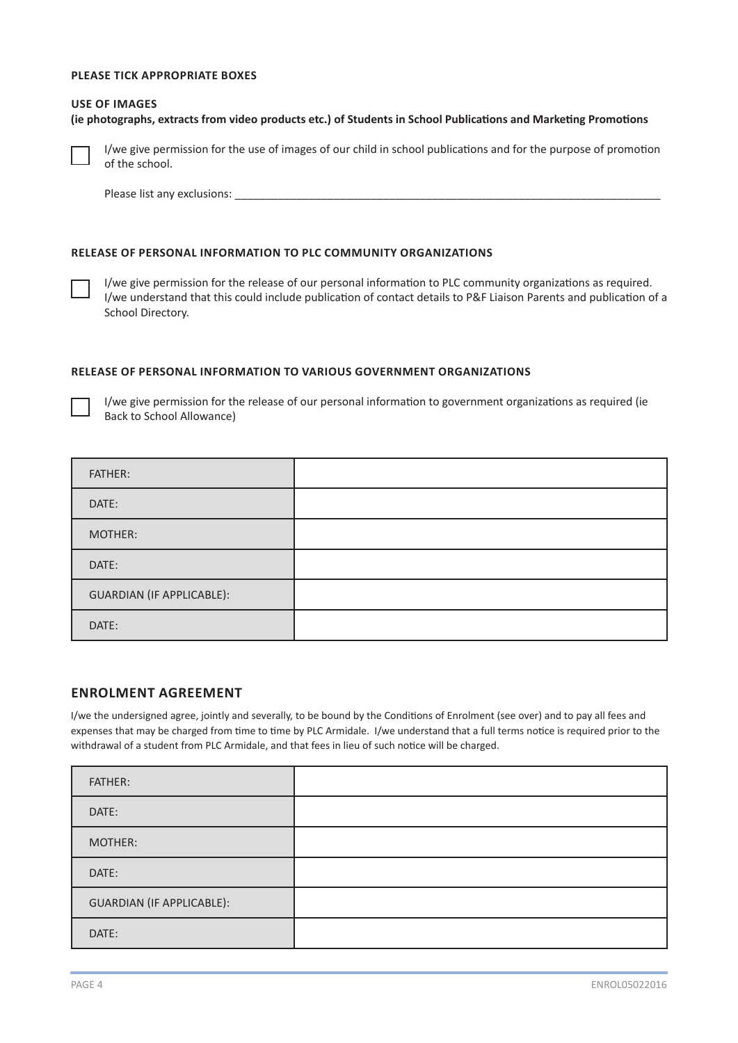### **PLEASE TICK APPROPRIATE BOXES**

#### **USE OF IMAGES**

**(ie photographs, extracts from video products etc.) of Students in School Publications and Marketing Promotions**



I/we give permission for the use of images of our child in school publications and for the purpose of promotion of the school.

Please list any exclusions:

#### **RELEASE OF PERSONAL INFORMATION TO PLC COMMUNITY ORGANIZATIONS**

I/we give permission for the release of our personal information to PLC community organizations as required. I/we understand that this could include publication of contact details to P&F Liaison Parents and publication of a School Directory.

#### **RELEASE OF PERSONAL INFORMATION TO VARIOUS GOVERNMENT ORGANIZATIONS**



I/we give permission for the release of our personal information to government organizations as required (ie Back to School Allowance)

| <b>FATHER:</b>                   |  |
|----------------------------------|--|
| DATE:                            |  |
| MOTHER:                          |  |
| DATE:                            |  |
| <b>GUARDIAN (IF APPLICABLE):</b> |  |
| DATE:                            |  |

#### **ENROLMENT AGREEMENT**

I/we the undersigned agree, jointly and severally, to be bound by the Conditions of Enrolment (see over) and to pay all fees and expenses that may be charged from time to time by PLC Armidale. I/we understand that a full terms notice is required prior to the withdrawal of a student from PLC Armidale, and that fees in lieu of such notice will be charged.

| FATHER:                          |  |
|----------------------------------|--|
| DATE:                            |  |
| MOTHER:                          |  |
| DATE:                            |  |
| <b>GUARDIAN (IF APPLICABLE):</b> |  |
| DATE:                            |  |